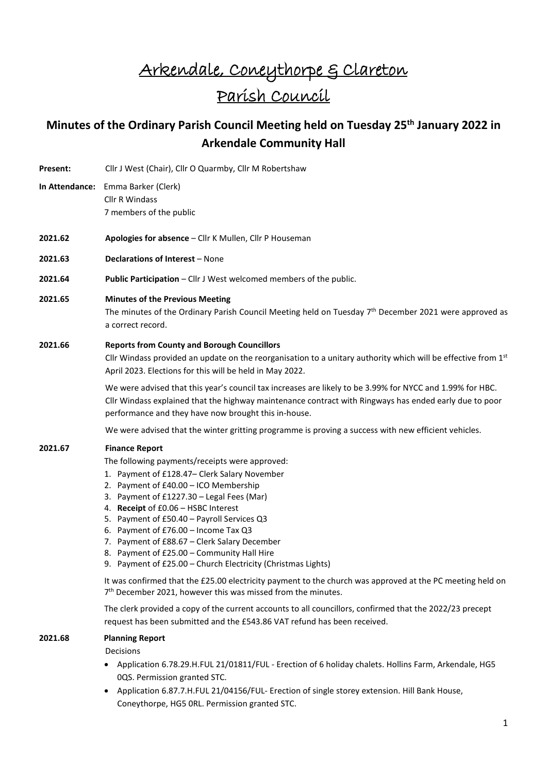# Arkendale, Coneythorpe & Clareton Parish Council

# **Minutes of the Ordinary Parish Council Meeting held on Tuesday 25th January 2022 in Arkendale Community Hall**

| Present: | Cllr J West (Chair), Cllr O Quarmby, Cllr M Robertshaw                                                                                                                                                                                                                                                                                                                                                                                                                                                   |
|----------|----------------------------------------------------------------------------------------------------------------------------------------------------------------------------------------------------------------------------------------------------------------------------------------------------------------------------------------------------------------------------------------------------------------------------------------------------------------------------------------------------------|
|          | In Attendance: Emma Barker (Clerk)<br>Cllr R Windass<br>7 members of the public                                                                                                                                                                                                                                                                                                                                                                                                                          |
| 2021.62  | Apologies for absence - Cllr K Mullen, Cllr P Houseman                                                                                                                                                                                                                                                                                                                                                                                                                                                   |
| 2021.63  | Declarations of Interest - None                                                                                                                                                                                                                                                                                                                                                                                                                                                                          |
| 2021.64  | Public Participation - Cllr J West welcomed members of the public.                                                                                                                                                                                                                                                                                                                                                                                                                                       |
| 2021.65  | <b>Minutes of the Previous Meeting</b><br>The minutes of the Ordinary Parish Council Meeting held on Tuesday $7th$ December 2021 were approved as<br>a correct record.                                                                                                                                                                                                                                                                                                                                   |
| 2021.66  | <b>Reports from County and Borough Councillors</b><br>Cllr Windass provided an update on the reorganisation to a unitary authority which will be effective from $1st$<br>April 2023. Elections for this will be held in May 2022.                                                                                                                                                                                                                                                                        |
|          | We were advised that this year's council tax increases are likely to be 3.99% for NYCC and 1.99% for HBC.<br>Cllr Windass explained that the highway maintenance contract with Ringways has ended early due to poor<br>performance and they have now brought this in-house.                                                                                                                                                                                                                              |
|          | We were advised that the winter gritting programme is proving a success with new efficient vehicles.                                                                                                                                                                                                                                                                                                                                                                                                     |
| 2021.67  | <b>Finance Report</b><br>The following payments/receipts were approved:<br>1. Payment of £128.47– Clerk Salary November<br>2. Payment of £40.00 - ICO Membership<br>3. Payment of £1227.30 - Legal Fees (Mar)<br>4. Receipt of £0.06 - HSBC Interest<br>5. Payment of £50.40 - Payroll Services Q3<br>6. Payment of £76.00 - Income Tax Q3<br>7. Payment of £88.67 - Clerk Salary December<br>8. Payment of £25.00 - Community Hall Hire<br>9. Payment of £25.00 - Church Electricity (Christmas Lights) |
|          | It was confirmed that the £25.00 electricity payment to the church was approved at the PC meeting held on<br>7 <sup>th</sup> December 2021, however this was missed from the minutes.                                                                                                                                                                                                                                                                                                                    |
|          | The clerk provided a copy of the current accounts to all councillors, confirmed that the 2022/23 precept<br>request has been submitted and the £543.86 VAT refund has been received.                                                                                                                                                                                                                                                                                                                     |
| 2021.68  | <b>Planning Report</b><br>Decisions                                                                                                                                                                                                                                                                                                                                                                                                                                                                      |

- Application 6.78.29.H.FUL 21/01811/FUL Erection of 6 holiday chalets. Hollins Farm, Arkendale, HG5 0QS. Permission granted STC.
- Application 6.87.7.H.FUL 21/04156/FUL- Erection of single storey extension. Hill Bank House, Coneythorpe, HG5 0RL. Permission granted STC.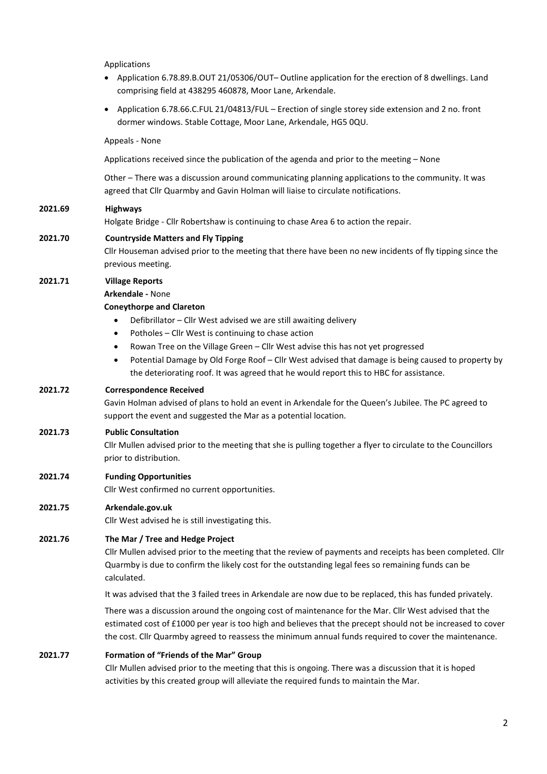Applications

- Application 6.78.89.B.OUT 21/05306/OUT– Outline application for the erection of 8 dwellings. Land comprising field at 438295 460878, Moor Lane, Arkendale.
- Application 6.78.66.C.FUL 21/04813/FUL Erection of single storey side extension and 2 no. front dormer windows. Stable Cottage, Moor Lane, Arkendale, HG5 0QU.

Appeals - None

Applications received since the publication of the agenda and prior to the meeting – None

Other – There was a discussion around communicating planning applications to the community. It was agreed that Cllr Quarmby and Gavin Holman will liaise to circulate notifications.

#### **2021.69 Highways**

Holgate Bridge - Cllr Robertshaw is continuing to chase Area 6 to action the repair.

#### **2021.70 Countryside Matters and Fly Tipping**

Cllr Houseman advised prior to the meeting that there have been no new incidents of fly tipping since the previous meeting.

#### **2021.71 Village Reports**

**Arkendale -** None

#### **Coneythorpe and Clareton**

- Defibrillator Cllr West advised we are still awaiting delivery
- Potholes Cllr West is continuing to chase action
- Rowan Tree on the Village Green Cllr West advise this has not yet progressed
- Potential Damage by Old Forge Roof Cllr West advised that damage is being caused to property by the deteriorating roof. It was agreed that he would report this to HBC for assistance.

### **2021.72 Correspondence Received**

Gavin Holman advised of plans to hold an event in Arkendale for the Queen's Jubilee. The PC agreed to support the event and suggested the Mar as a potential location.

#### **2021.73 Public Consultation**

Cllr Mullen advised prior to the meeting that she is pulling together a flyer to circulate to the Councillors prior to distribution.

#### **2021.74 Funding Opportunities**

Cllr West confirmed no current opportunities.

#### **2021.75 Arkendale.gov.uk**

Cllr West advised he is still investigating this.

#### **2021.76 The Mar / Tree and Hedge Project**

Cllr Mullen advised prior to the meeting that the review of payments and receipts has been completed. Cllr Quarmby is due to confirm the likely cost for the outstanding legal fees so remaining funds can be calculated.

It was advised that the 3 failed trees in Arkendale are now due to be replaced, this has funded privately.

There was a discussion around the ongoing cost of maintenance for the Mar. Cllr West advised that the estimated cost of £1000 per year is too high and believes that the precept should not be increased to cover the cost. Cllr Quarmby agreed to reassess the minimum annual funds required to cover the maintenance.

#### **2021.77 Formation of "Friends of the Mar" Group**

Cllr Mullen advised prior to the meeting that this is ongoing. There was a discussion that it is hoped activities by this created group will alleviate the required funds to maintain the Mar.